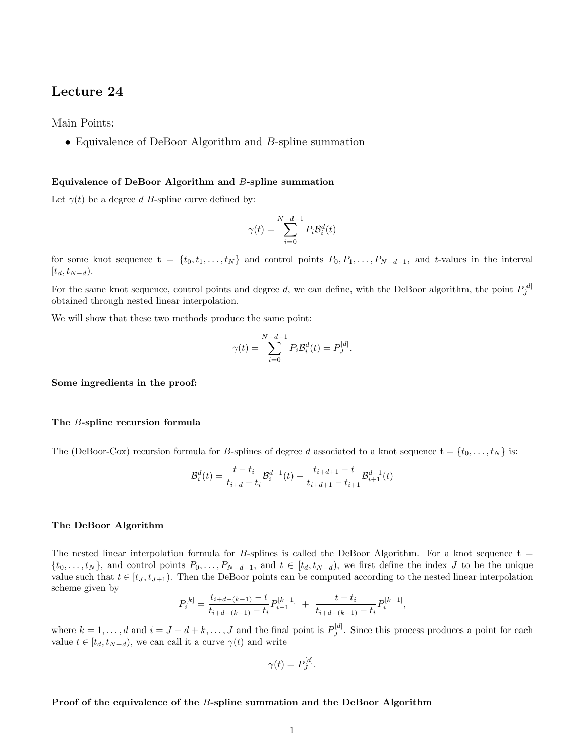# Lecture 24

Main Points:

• Equivalence of DeBoor Algorithm and B-spline summation

## Equivalence of DeBoor Algorithm and B-spline summation

Let  $\gamma(t)$  be a degree d B-spline curve defined by:

$$
\gamma(t) = \sum_{i=0}^{N-d-1} P_i \mathcal{B}_i^d(t)
$$

for some knot sequence  $\mathbf{t} = \{t_0, t_1, \ldots, t_N\}$  and control points  $P_0, P_1, \ldots, P_{N-d-1}$ , and t-values in the interval  $[t_d, t_{N-d}).$ 

For the same knot sequence, control points and degree d, we can define, with the DeBoor algorithm, the point  $P_I^{[d]}$ J obtained through nested linear interpolation.

We will show that these two methods produce the same point:

$$
\gamma(t) = \sum_{i=0}^{N-d-1} P_i \mathcal{B}_i^d(t) = P_J^{[d]}.
$$

Some ingredients in the proof:

#### The B-spline recursion formula

The (DeBoor-Cox) recursion formula for B-splines of degree d associated to a knot sequence  $\mathbf{t} = \{t_0, \ldots, t_N\}$  is:

$$
\mathcal{B}_i^d(t) = \frac{t - t_i}{t_{i+d} - t_i} \mathcal{B}_i^{d-1}(t) + \frac{t_{i+d+1} - t}{t_{i+d+1} - t_{i+1}} \mathcal{B}_{i+1}^{d-1}(t)
$$

### The DeBoor Algorithm

The nested linear interpolation formula for B-splines is called the DeBoor Algorithm. For a knot sequence  $t =$  $\{t_0, \ldots, t_N\}$ , and control points  $P_0, \ldots, P_{N-d-1}$ , and  $t \in [t_d, t_{N-d})$ , we first define the index J to be the unique value such that  $t \in [t_J, t_{J+1})$ . Then the DeBoor points can be computed according to the nested linear interpolation scheme given by

$$
P_i^{[k]} = \frac{t_{i+d-(k-1)} - t}{t_{i+d-(k-1)} - t_i} P_{i-1}^{[k-1]} + \frac{t - t_i}{t_{i+d-(k-1)} - t_i} P_i^{[k-1]},
$$

where  $k = 1, ..., d$  and  $i = J - d + k, ..., J$  and the final point is  $P_I^{[d]}$  $J^{[u]}$ . Since this process produces a point for each value  $t \in [t_d, t_{N-d})$ , we can call it a curve  $\gamma(t)$  and write

$$
\gamma(t) = P_J^{[d]}.
$$

## Proof of the equivalence of the B-spline summation and the DeBoor Algorithm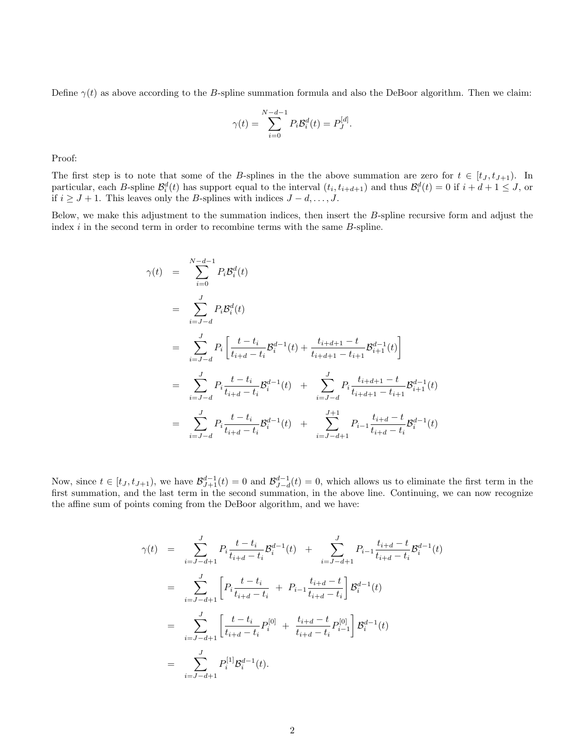Define  $\gamma(t)$  as above according to the B-spline summation formula and also the DeBoor algorithm. Then we claim:

$$
\gamma(t) = \sum_{i=0}^{N-d-1} P_i \mathcal{B}_i^d(t) = P_j^{[d]}.
$$

Proof:

The first step is to note that some of the B-splines in the the above summation are zero for  $t \in [t_J, t_{J+1})$ . In particular, each B-spline  $\mathcal{B}_i^d(t)$  has support equal to the interval  $(t_i, t_{i+d+1})$  and thus  $\mathcal{B}_i^d(t) = 0$  if  $i + d + 1 \leq J$ , or if  $i \geq J + 1$ . This leaves only the B-splines with indices  $J - d, \ldots, J$ .

Below, we make this adjustment to the summation indices, then insert the B-spline recursive form and adjust the index  $i$  in the second term in order to recombine terms with the same  $B$ -spline.

$$
\gamma(t) = \sum_{i=0}^{N-d-1} P_i \mathcal{B}_i^d(t)
$$
  
\n
$$
= \sum_{i=J-d}^{J} P_i \mathcal{B}_i^d(t)
$$
  
\n
$$
= \sum_{i=J-d}^{J} P_i \left[ \frac{t-t_i}{t_{i+d} - t_i} \mathcal{B}_i^{d-1}(t) + \frac{t_{i+d+1} - t}{t_{i+d+1} - t_{i+1}} \mathcal{B}_{i+1}^{d-1}(t) \right]
$$
  
\n
$$
= \sum_{i=J-d}^{J} P_i \frac{t-t_i}{t_{i+d} - t_i} \mathcal{B}_i^{d-1}(t) + \sum_{i=J-d}^{J} P_i \frac{t_{i+d+1} - t}{t_{i+d+1} - t_{i+1}} \mathcal{B}_{i+1}^{d-1}(t)
$$
  
\n
$$
= \sum_{i=J-d}^{J} P_i \frac{t-t_i}{t_{i+d} - t_i} \mathcal{B}_i^{d-1}(t) + \sum_{i=J-d+1}^{J+1} P_{i-1} \frac{t_{i+d} - t}{t_{i+d} - t_i} \mathcal{B}_i^{d-1}(t)
$$

Now, since  $t \in [t_J, t_{J+1})$ , we have  $\mathcal{B}_{J+1}^{d-1}(t) = 0$  and  $\mathcal{B}_{J-d}^{d-1}(t) = 0$ , which allows us to eliminate the first term in the first summation, and the last term in the second summation, in the above line. Continuing, we can now recognize the affine sum of points coming from the DeBoor algorithm, and we have:

$$
\gamma(t) = \sum_{i=J-d+1}^{J} P_i \frac{t - t_i}{t_{i+d} - t_i} \mathcal{B}_i^{d-1}(t) + \sum_{i=J-d+1}^{J} P_{i-1} \frac{t_{i+d} - t}{t_{i+d} - t_i} \mathcal{B}_i^{d-1}(t)
$$
  
\n
$$
= \sum_{i=J-d+1}^{J} \left[ P_i \frac{t - t_i}{t_{i+d} - t_i} + P_{i-1} \frac{t_{i+d} - t}{t_{i+d} - t_i} \right] \mathcal{B}_i^{d-1}(t)
$$
  
\n
$$
= \sum_{i=J-d+1}^{J} \left[ \frac{t - t_i}{t_{i+d} - t_i} P_i^{[0]} + \frac{t_{i+d} - t}{t_{i+d} - t_i} P_i^{[0]} \right] \mathcal{B}_i^{d-1}(t)
$$
  
\n
$$
= \sum_{i=J-d+1}^{J} P_i^{[1]} \mathcal{B}_i^{d-1}(t).
$$